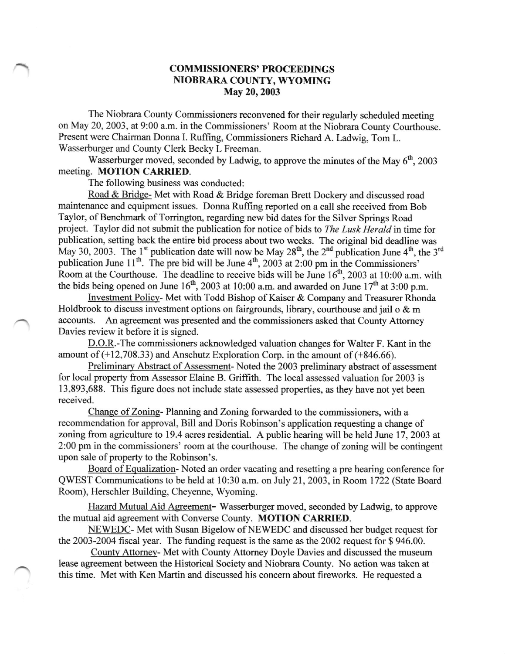## COMMISSIONERS' PROCEEDINGS NIOBRARA COUNTY, WYOMING May 20,2003

The Niobrara County Commissioners reconvened for their regularly scheduled meeting on May 20, 2003, at 9:00 a.m. in the Commissioners' Room at the Niobrara County Courthouse. Present were Chairman Donna I. Ruffing, Commissioners Richard A. Ladwig, Tom L. Wasserburger and County Clerk Becky L Freeman.

Wasserburger moved, seconded by Ladwig, to approve the minutes of the May  $6<sup>th</sup>$ , 2003 meeting. MOTION CARRIED.

The following business was conducted:

Road & Bridge- Met with Road & Bridge foreman Brett Dockery and discussed road maintenance and equipment issues. Donna Ruffing reported on a call she received from Bob Taylor, of Benchmark of Torrington, regarding new bid dates for the Silver Springs Road project. Taylor did not submit the publication for notice of bids to The Lusk Herald in time for publication, setting back the entire bid process about two weeks. The original bid deadline was May 30, 2003. The 1<sup>st</sup> publication date will now be May 28<sup>th</sup>, the 2<sup>nd</sup> publication June 4<sup>th</sup>, the 3<sup>rd</sup> publication June 11<sup>th</sup>. The pre bid will be June  $4<sup>th</sup>$ , 2003 at 2:00 pm in the Commissioners' Room at the Courthouse. The deadline to receive bids will be June  $16<sup>th</sup>$ , 2003 at 10:00 a.m. with the bids being opened on June  $16<sup>th</sup>$ , 2003 at 10:00 a.m. and awarded on June  $17<sup>th</sup>$  at 3:00 p.m.

Investment Policy- Met with Todd Bishop of Kaiser & Company and Treasurer Rhonda Holdbrook to discuss investment options on fairgrounds, library, courthouse and jail o  $\&$  m accounts. An agreement was presented and the commissioners asked that County Attorney Davies review it before it is signed.

D.O.R.-The commissioners acknowledged valuation changes for Walter F. Kant in the amount of  $(+12,708.33)$  and Anschutz Exploration Corp. in the amount of  $(+846.66)$ .

Preliminarv Abstract of Assessment- Noted the 2003 preliminary abstract of assessment for local property from Assessor Elaine B. Grifiith. The local assessed valuation for 2003 is 13,893,688. This figure does not include state assessed properties, as they have not yet been received.

Change of Zoning-Planning and Zoning forwarded to the commissioners, with a recommendation for approval, Bill and Doris Robinson's application requesting a change of zoning from agriculture to 19.4 acres residential. A public hearing will be held June 17,2003 at 2:00 pm in the commissioners' room at the courthouse. The change of zoning will be contingent upon sale of property to the Robinson's.

Board of Equalization-Noted an order vacating and resetting a pre hearing conference for QWEST Communications to be held at 10:30 a.m. on July 21, 2003, in Room 1722 (State Board Room), Herschler Building, Cheyenne, Wyoming.

Hazard Mutual Aid Aereement- Wasserburger moved, seconded by Ladwig, to approve the mutual aid agreement with Converse County. MOTION CARRIED.

NEWEDC- Met with Susan Bigelow of NEWEDC and discussed her budget request for the 2003-2004 fiscal year. The flrnding request is the same as the 2002 request for \$ 946.00.

Countv Attomey- Met with County Attomey Doyle Davies and discussed the museum Iease agreement between the Historical Society and Niobrara County. No action was taken at this time. Met with Ken Martin and discussed his concem about fireworks. He requested a